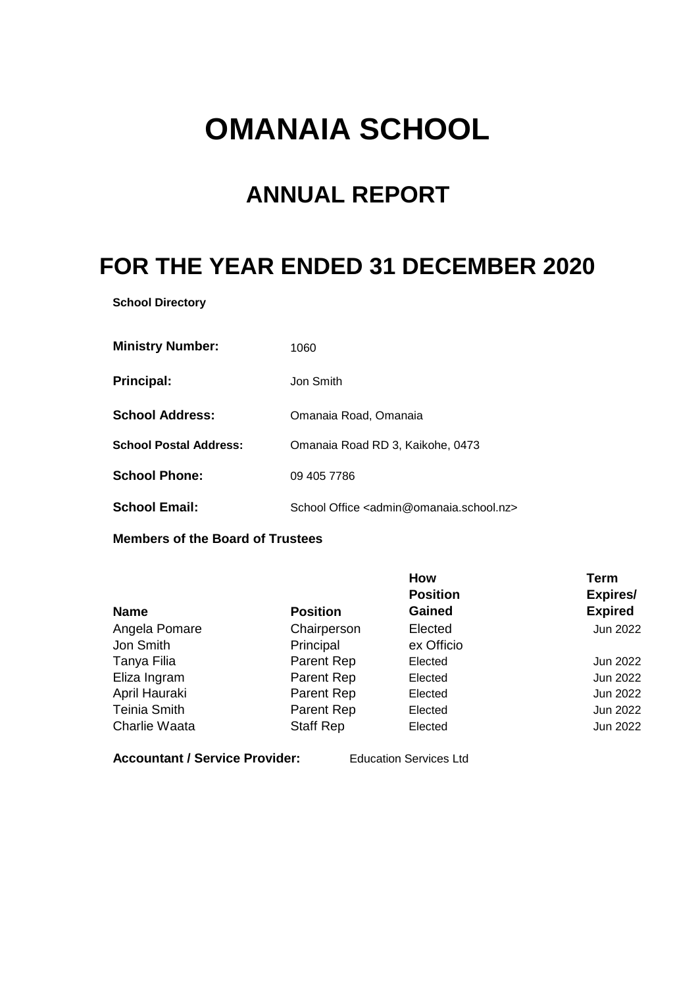# **OMANAIA SCHOOL**

## **ANNUAL REPORT**

## **FOR THE YEAR ENDED 31 DECEMBER 2020**

**School Directory**

| <b>Ministry Number:</b>       | 1060                                                              |
|-------------------------------|-------------------------------------------------------------------|
| <b>Principal:</b>             | Jon Smith                                                         |
| <b>School Address:</b>        | Omanaia Road, Omanaia                                             |
| <b>School Postal Address:</b> | Omanaia Road RD 3, Kaikohe, 0473                                  |
| <b>School Phone:</b>          | 09 405 7786                                                       |
| <b>School Email:</b>          | School Office <admin@omanaia.school.nz></admin@omanaia.school.nz> |

**Members of the Board of Trustees**

|                     |                  | How             | <b>Term</b>    |
|---------------------|------------------|-----------------|----------------|
|                     |                  | <b>Position</b> | Expires/       |
| <b>Name</b>         | <b>Position</b>  | <b>Gained</b>   | <b>Expired</b> |
| Angela Pomare       | Chairperson      | Elected         | Jun 2022       |
| Jon Smith           | Principal        | ex Officio      |                |
| Tanya Filia         | Parent Rep       | Elected         | Jun 2022       |
| Eliza Ingram        | Parent Rep       | Elected         | Jun 2022       |
| April Hauraki       | Parent Rep       | Elected         | Jun 2022       |
| <b>Teinia Smith</b> | Parent Rep       | Elected         | Jun 2022       |
| Charlie Waata       | <b>Staff Rep</b> | Elected         | Jun 2022       |

**Accountant / Service Provider:** Education Services Ltd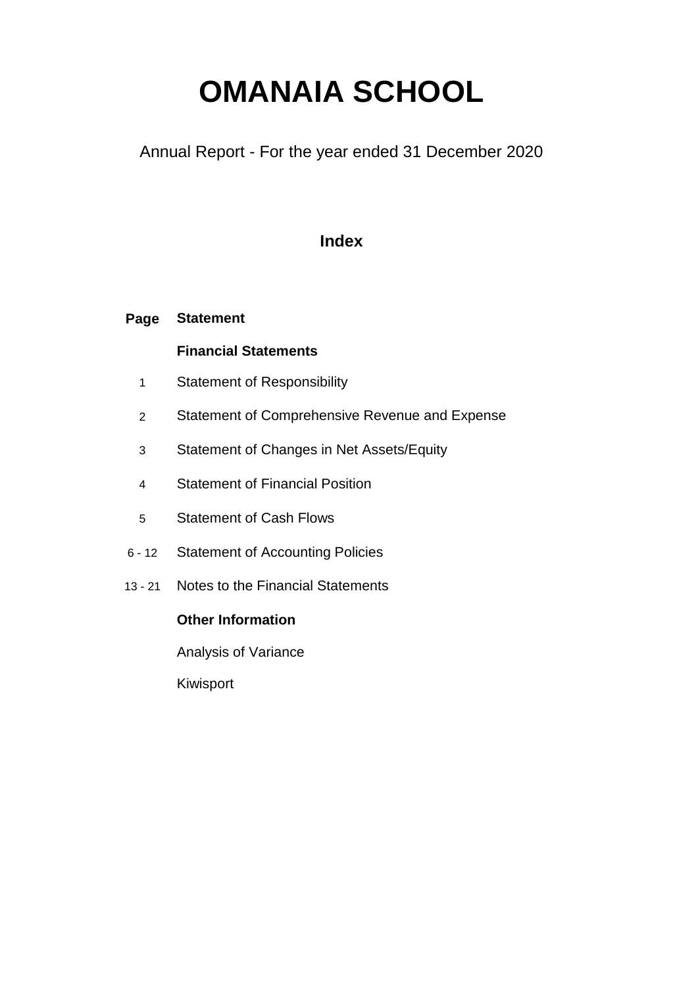# **OMANAIA SCHOOL**

Annual Report - For the year ended 31 December 2020

## **Index**

#### **Page Statement**

### **Financial Statements**

- 1 Statement of Responsibility
- 2 Statement of Comprehensive Revenue and Expense
- 3 Statement of Changes in Net Assets/Equity
- 4 Statement of Financial Position
- 5 Statement of Cash Flows
- 6 12 Statement of Accounting Policies
- 13 21 Notes to the Financial Statements

### **Other Information**

Analysis of Variance

Kiwisport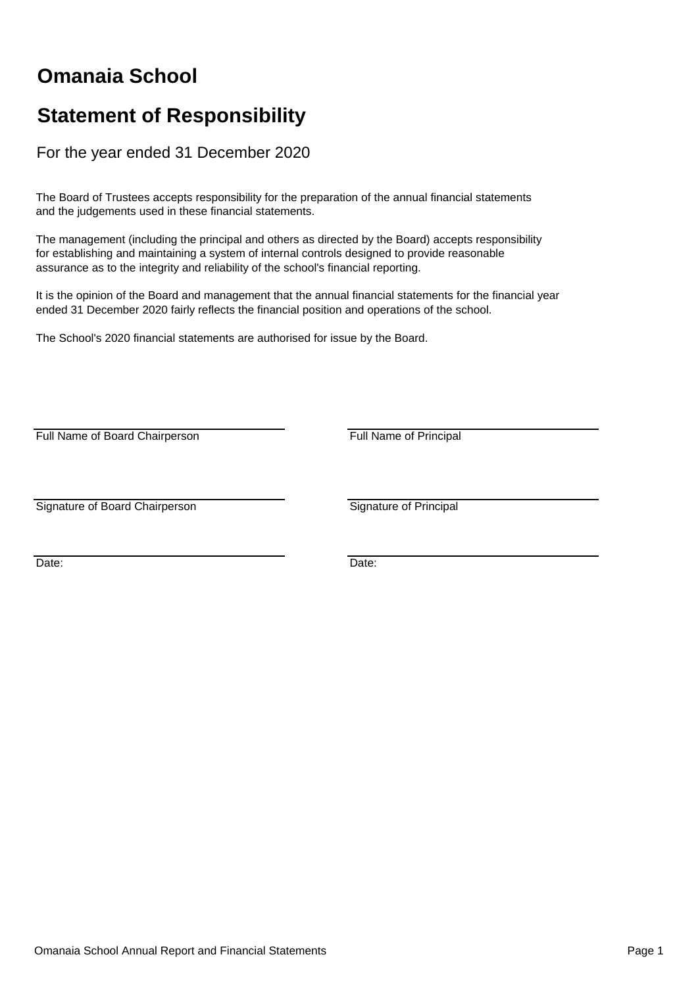## **Omanaia School**

## **Statement of Responsibility**

For the year ended 31 December 2020

The Board of Trustees accepts responsibility for the preparation of the annual financial statements and the judgements used in these financial statements.

The management (including the principal and others as directed by the Board) accepts responsibility for establishing and maintaining a system of internal controls designed to provide reasonable assurance as to the integrity and reliability of the school's financial reporting.

It is the opinion of the Board and management that the annual financial statements for the financial year ended 31 December 2020 fairly reflects the financial position and operations of the school.

The School's 2020 financial statements are authorised for issue by the Board.

Full Name of Board Chairperson **Full Name of Principal** 

Signature of Board Chairperson Signature of Principal

Date: **Date: Date: Date: Date: Date: Date: Date: Date: Date: Date: Date: Date: Date: Date: Date: Date: Date: Date: Date: Date: Date: Date: Date: Date: Date: Date: Date:**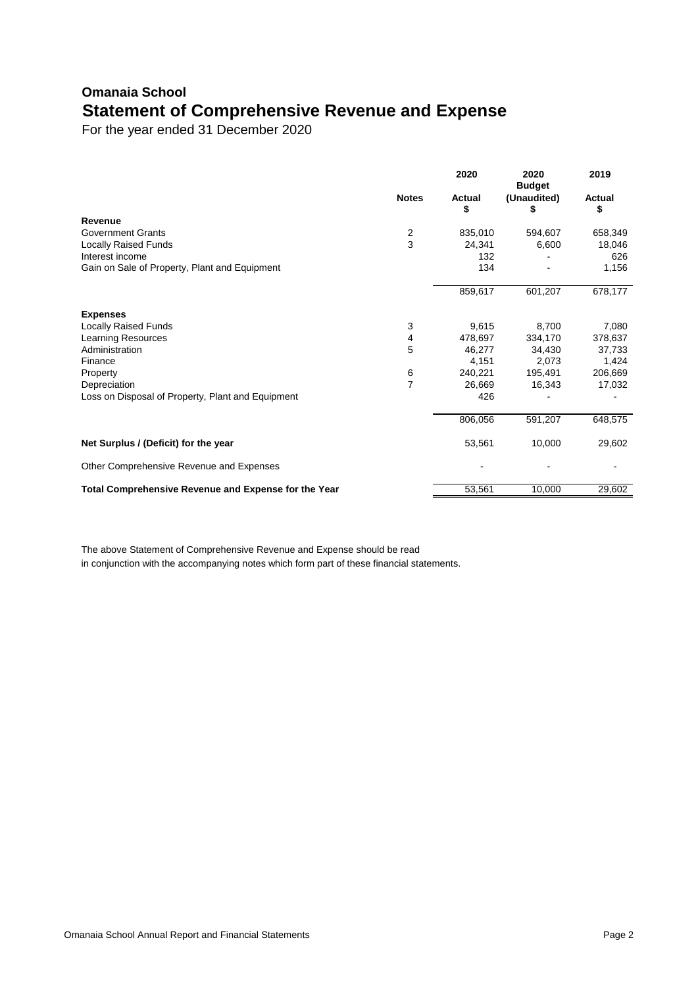## **Omanaia School Statement of Comprehensive Revenue and Expense**

For the year ended 31 December 2020

|                                                      |                | 2020         | 2020<br><b>Budget</b> | 2019         |
|------------------------------------------------------|----------------|--------------|-----------------------|--------------|
|                                                      | <b>Notes</b>   | Actual<br>\$ | (Unaudited)<br>\$     | Actual<br>\$ |
| Revenue                                              |                |              |                       |              |
| <b>Government Grants</b>                             | $\frac{2}{3}$  | 835,010      | 594,607               | 658,349      |
| <b>Locally Raised Funds</b>                          |                | 24,341       | 6,600                 | 18,046       |
| Interest income                                      |                | 132          |                       | 626          |
| Gain on Sale of Property, Plant and Equipment        |                | 134          |                       | 1,156        |
|                                                      |                | 859,617      | 601,207               | 678,177      |
| <b>Expenses</b>                                      |                |              |                       |              |
| <b>Locally Raised Funds</b>                          | 3              | 9,615        | 8,700                 | 7,080        |
| <b>Learning Resources</b>                            | 4              | 478,697      | 334,170               | 378,637      |
| Administration                                       | 5              | 46,277       | 34,430                | 37,733       |
| Finance                                              |                | 4,151        | 2,073                 | 1,424        |
| Property                                             | 6              | 240,221      | 195,491               | 206,669      |
| Depreciation                                         | $\overline{7}$ | 26,669       | 16,343                | 17,032       |
| Loss on Disposal of Property, Plant and Equipment    |                | 426          |                       |              |
|                                                      |                | 806,056      | 591,207               | 648,575      |
| Net Surplus / (Deficit) for the year                 |                | 53,561       | 10,000                | 29,602       |
| Other Comprehensive Revenue and Expenses             |                |              |                       |              |
| Total Comprehensive Revenue and Expense for the Year |                | 53,561       | 10,000                | 29,602       |

The above Statement of Comprehensive Revenue and Expense should be read in conjunction with the accompanying notes which form part of these financial statements.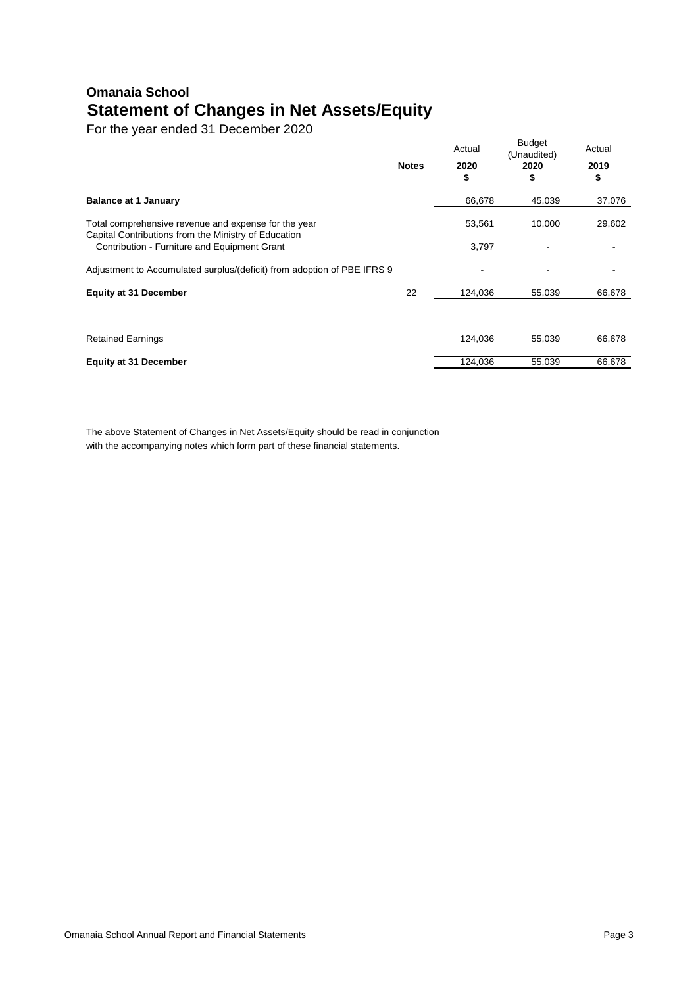## **Omanaia School Statement of Changes in Net Assets/Equity**

For the year ended 31 December 2020

|                                                                                                              | <b>Notes</b> | Actual<br>2020<br>\$ | <b>Budget</b><br>(Unaudited)<br>2020<br>\$ | Actual<br>2019<br>\$ |
|--------------------------------------------------------------------------------------------------------------|--------------|----------------------|--------------------------------------------|----------------------|
| <b>Balance at 1 January</b>                                                                                  |              | 66,678               | 45,039                                     | 37,076               |
| Total comprehensive revenue and expense for the year<br>Capital Contributions from the Ministry of Education |              | 53,561               | 10,000                                     | 29,602               |
| Contribution - Furniture and Equipment Grant                                                                 |              | 3,797                |                                            |                      |
| Adjustment to Accumulated surplus/(deficit) from adoption of PBE IFRS 9                                      |              |                      |                                            |                      |
| <b>Equity at 31 December</b>                                                                                 | 22           | 124,036              | 55,039                                     | 66,678               |
|                                                                                                              |              |                      |                                            |                      |
| <b>Retained Earnings</b>                                                                                     |              | 124,036              | 55,039                                     | 66,678               |
| <b>Equity at 31 December</b>                                                                                 |              | 124,036              | 55,039                                     | 66,678               |

The above Statement of Changes in Net Assets/Equity should be read in conjunction with the accompanying notes which form part of these financial statements.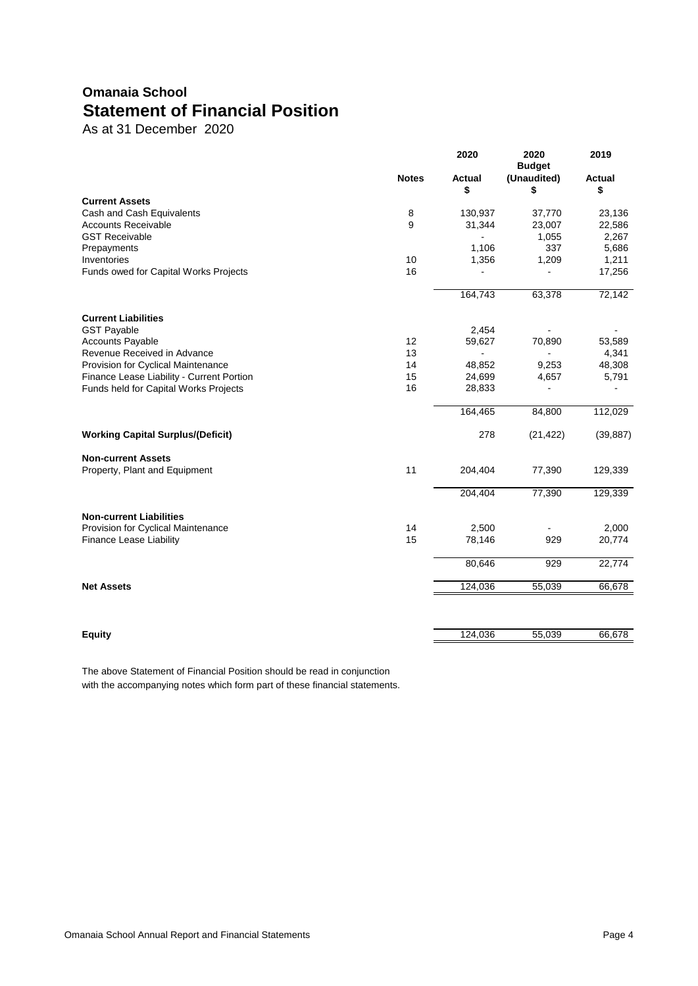## **Omanaia School Statement of Financial Position**

As at 31 December 2020

|                                           | 2020         | 2020<br><b>Budget</b> | 2019              |                     |
|-------------------------------------------|--------------|-----------------------|-------------------|---------------------|
|                                           | <b>Notes</b> | Actual<br>\$          | (Unaudited)<br>\$ | <b>Actual</b><br>\$ |
| <b>Current Assets</b>                     |              |                       |                   |                     |
| Cash and Cash Equivalents                 | 8            | 130,937               | 37,770            | 23,136              |
| <b>Accounts Receivable</b>                | 9            | 31,344                | 23,007            | 22,586              |
| <b>GST Receivable</b>                     |              |                       | 1,055             | 2,267               |
| Prepayments                               |              | 1,106                 | 337               | 5,686               |
| Inventories                               | 10           | 1,356                 | 1,209             | 1,211               |
| Funds owed for Capital Works Projects     | 16           |                       |                   | 17,256              |
|                                           |              | 164,743               | 63,378            | 72,142              |
| <b>Current Liabilities</b>                |              |                       |                   |                     |
| <b>GST Payable</b>                        |              | 2,454                 |                   |                     |
| <b>Accounts Payable</b>                   | 12           | 59,627                | 70,890            | 53,589              |
| Revenue Received in Advance               | 13           |                       |                   | 4,341               |
| Provision for Cyclical Maintenance        | 14           | 48,852                | 9,253             | 48,308              |
| Finance Lease Liability - Current Portion | 15           | 24,699                | 4,657             | 5,791               |
| Funds held for Capital Works Projects     | 16           | 28,833                | L                 |                     |
|                                           |              | 164,465               | 84,800            | 112,029             |
| <b>Working Capital Surplus/(Deficit)</b>  |              | 278                   | (21, 422)         | (39, 887)           |
| <b>Non-current Assets</b>                 |              |                       |                   |                     |
| Property, Plant and Equipment             | 11           | 204,404               | 77,390            | 129,339             |
|                                           |              | 204,404               | 77,390            | 129,339             |
| <b>Non-current Liabilities</b>            |              |                       |                   |                     |
| Provision for Cyclical Maintenance        | 14           | 2,500                 |                   | 2,000               |
| <b>Finance Lease Liability</b>            | 15           | 78,146                | 929               | 20,774              |
|                                           |              | 80,646                | 929               | 22,774              |
| <b>Net Assets</b>                         |              | 124,036               | 55,039            | 66,678              |
|                                           |              |                       |                   |                     |
| <b>Equity</b>                             |              | 124,036               | 55,039            | 66,678              |

The above Statement of Financial Position should be read in conjunction with the accompanying notes which form part of these financial statements.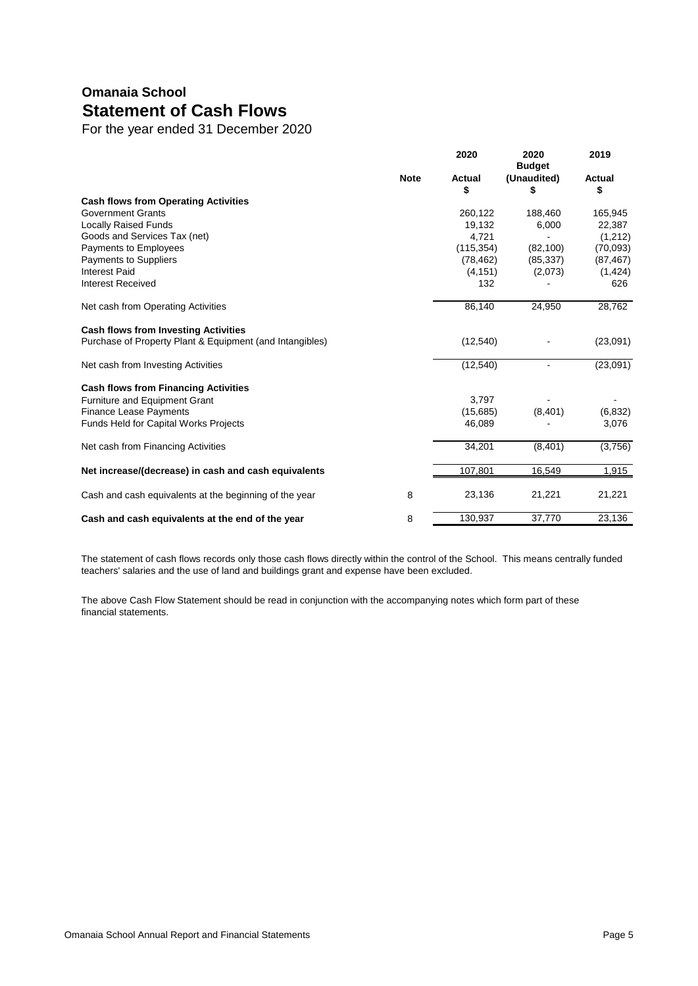## **Omanaia School Statement of Cash Flows**

For the year ended 31 December 2020

| <b>Note</b><br>(Unaudited)<br><b>Actual</b><br>Actual<br>\$<br>\$<br>S<br><b>Cash flows from Operating Activities</b><br><b>Government Grants</b><br>188,460<br>165,945<br>260.122<br><b>Locally Raised Funds</b><br>6,000<br>19,132<br>22,387<br>Goods and Services Tax (net)<br>4,721<br>(1,212)<br>Payments to Employees<br>(115, 354)<br>(70,093)<br>(82, 100)<br><b>Payments to Suppliers</b><br>(78, 462)<br>(85, 337)<br>(87, 467)<br><b>Interest Paid</b><br>(4, 151)<br>(1, 424)<br>(2,073)<br><b>Interest Received</b><br>132<br>626<br>Net cash from Operating Activities<br>86.140<br>24,950<br>28,762<br><b>Cash flows from Investing Activities</b><br>Purchase of Property Plant & Equipment (and Intangibles)<br>(12,540)<br>(23,091)<br>(12, 540)<br>(23,091)<br>Net cash from Investing Activities<br><b>Cash flows from Financing Activities</b><br>3,797<br><b>Furniture and Equipment Grant</b><br><b>Finance Lease Payments</b><br>(8,401)<br>(6, 832)<br>(15,685)<br><b>Funds Held for Capital Works Projects</b><br>46,089<br>3,076<br>34,201<br>(3,756)<br>Net cash from Financing Activities<br>(8,401)<br>Net increase/(decrease) in cash and cash equivalents<br>107,801<br>16,549<br>1,915<br>Cash and cash equivalents at the beginning of the year<br>8<br>23,136<br>21,221<br>21,221<br>130,937<br>37,770<br>23,136<br>8<br>Cash and cash equivalents at the end of the year |  | 2020 | 2020<br><b>Budget</b> | 2019 |
|--------------------------------------------------------------------------------------------------------------------------------------------------------------------------------------------------------------------------------------------------------------------------------------------------------------------------------------------------------------------------------------------------------------------------------------------------------------------------------------------------------------------------------------------------------------------------------------------------------------------------------------------------------------------------------------------------------------------------------------------------------------------------------------------------------------------------------------------------------------------------------------------------------------------------------------------------------------------------------------------------------------------------------------------------------------------------------------------------------------------------------------------------------------------------------------------------------------------------------------------------------------------------------------------------------------------------------------------------------------------------------------------------------------|--|------|-----------------------|------|
|                                                                                                                                                                                                                                                                                                                                                                                                                                                                                                                                                                                                                                                                                                                                                                                                                                                                                                                                                                                                                                                                                                                                                                                                                                                                                                                                                                                                              |  |      |                       |      |
|                                                                                                                                                                                                                                                                                                                                                                                                                                                                                                                                                                                                                                                                                                                                                                                                                                                                                                                                                                                                                                                                                                                                                                                                                                                                                                                                                                                                              |  |      |                       |      |
|                                                                                                                                                                                                                                                                                                                                                                                                                                                                                                                                                                                                                                                                                                                                                                                                                                                                                                                                                                                                                                                                                                                                                                                                                                                                                                                                                                                                              |  |      |                       |      |
|                                                                                                                                                                                                                                                                                                                                                                                                                                                                                                                                                                                                                                                                                                                                                                                                                                                                                                                                                                                                                                                                                                                                                                                                                                                                                                                                                                                                              |  |      |                       |      |
|                                                                                                                                                                                                                                                                                                                                                                                                                                                                                                                                                                                                                                                                                                                                                                                                                                                                                                                                                                                                                                                                                                                                                                                                                                                                                                                                                                                                              |  |      |                       |      |
|                                                                                                                                                                                                                                                                                                                                                                                                                                                                                                                                                                                                                                                                                                                                                                                                                                                                                                                                                                                                                                                                                                                                                                                                                                                                                                                                                                                                              |  |      |                       |      |
|                                                                                                                                                                                                                                                                                                                                                                                                                                                                                                                                                                                                                                                                                                                                                                                                                                                                                                                                                                                                                                                                                                                                                                                                                                                                                                                                                                                                              |  |      |                       |      |
|                                                                                                                                                                                                                                                                                                                                                                                                                                                                                                                                                                                                                                                                                                                                                                                                                                                                                                                                                                                                                                                                                                                                                                                                                                                                                                                                                                                                              |  |      |                       |      |
|                                                                                                                                                                                                                                                                                                                                                                                                                                                                                                                                                                                                                                                                                                                                                                                                                                                                                                                                                                                                                                                                                                                                                                                                                                                                                                                                                                                                              |  |      |                       |      |
|                                                                                                                                                                                                                                                                                                                                                                                                                                                                                                                                                                                                                                                                                                                                                                                                                                                                                                                                                                                                                                                                                                                                                                                                                                                                                                                                                                                                              |  |      |                       |      |
|                                                                                                                                                                                                                                                                                                                                                                                                                                                                                                                                                                                                                                                                                                                                                                                                                                                                                                                                                                                                                                                                                                                                                                                                                                                                                                                                                                                                              |  |      |                       |      |
|                                                                                                                                                                                                                                                                                                                                                                                                                                                                                                                                                                                                                                                                                                                                                                                                                                                                                                                                                                                                                                                                                                                                                                                                                                                                                                                                                                                                              |  |      |                       |      |
|                                                                                                                                                                                                                                                                                                                                                                                                                                                                                                                                                                                                                                                                                                                                                                                                                                                                                                                                                                                                                                                                                                                                                                                                                                                                                                                                                                                                              |  |      |                       |      |
|                                                                                                                                                                                                                                                                                                                                                                                                                                                                                                                                                                                                                                                                                                                                                                                                                                                                                                                                                                                                                                                                                                                                                                                                                                                                                                                                                                                                              |  |      |                       |      |
|                                                                                                                                                                                                                                                                                                                                                                                                                                                                                                                                                                                                                                                                                                                                                                                                                                                                                                                                                                                                                                                                                                                                                                                                                                                                                                                                                                                                              |  |      |                       |      |
|                                                                                                                                                                                                                                                                                                                                                                                                                                                                                                                                                                                                                                                                                                                                                                                                                                                                                                                                                                                                                                                                                                                                                                                                                                                                                                                                                                                                              |  |      |                       |      |
|                                                                                                                                                                                                                                                                                                                                                                                                                                                                                                                                                                                                                                                                                                                                                                                                                                                                                                                                                                                                                                                                                                                                                                                                                                                                                                                                                                                                              |  |      |                       |      |
|                                                                                                                                                                                                                                                                                                                                                                                                                                                                                                                                                                                                                                                                                                                                                                                                                                                                                                                                                                                                                                                                                                                                                                                                                                                                                                                                                                                                              |  |      |                       |      |
|                                                                                                                                                                                                                                                                                                                                                                                                                                                                                                                                                                                                                                                                                                                                                                                                                                                                                                                                                                                                                                                                                                                                                                                                                                                                                                                                                                                                              |  |      |                       |      |
|                                                                                                                                                                                                                                                                                                                                                                                                                                                                                                                                                                                                                                                                                                                                                                                                                                                                                                                                                                                                                                                                                                                                                                                                                                                                                                                                                                                                              |  |      |                       |      |
|                                                                                                                                                                                                                                                                                                                                                                                                                                                                                                                                                                                                                                                                                                                                                                                                                                                                                                                                                                                                                                                                                                                                                                                                                                                                                                                                                                                                              |  |      |                       |      |

The statement of cash flows records only those cash flows directly within the control of the School. This means centrally funded teachers' salaries and the use of land and buildings grant and expense have been excluded.

The above Cash Flow Statement should be read in conjunction with the accompanying notes which form part of these financial statements.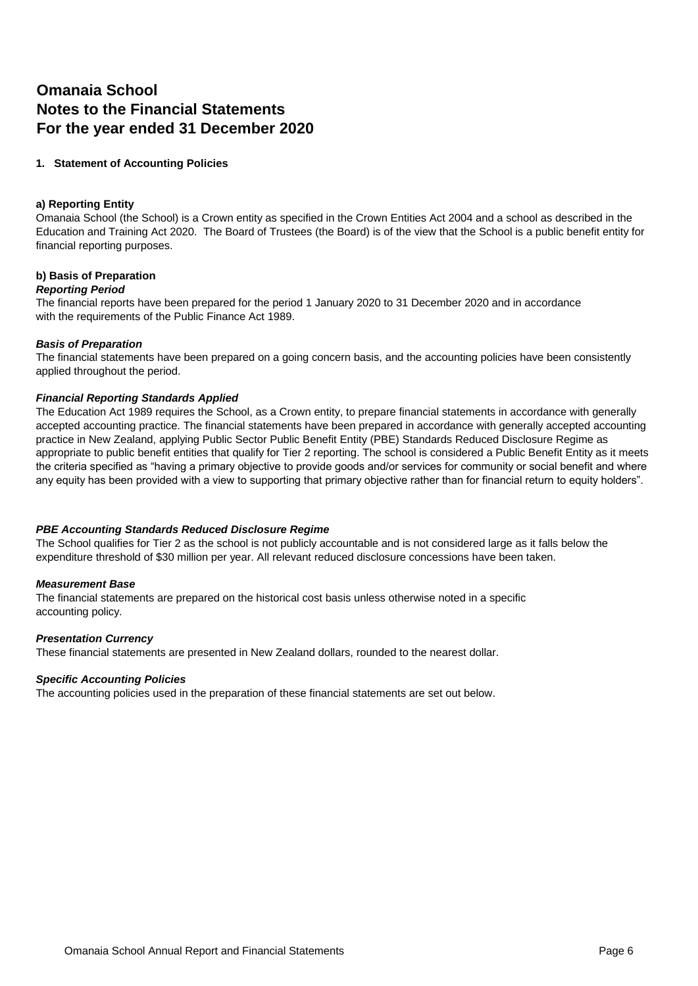### **Omanaia School Notes to the Financial Statements For the year ended 31 December 2020**

#### **1. Statement of Accounting Policies**

#### **a) Reporting Entity**

Omanaia School (the School) is a Crown entity as specified in the Crown Entities Act 2004 and a school as described in the Education and Training Act 2020. The Board of Trustees (the Board) is of the view that the School is a public benefit entity for financial reporting purposes.

#### **b) Basis of Preparation**

#### *Reporting Period*

The financial reports have been prepared for the period 1 January 2020 to 31 December 2020 and in accordance with the requirements of the Public Finance Act 1989.

#### *Basis of Preparation*

The financial statements have been prepared on a going concern basis, and the accounting policies have been consistently applied throughout the period.

#### *Financial Reporting Standards Applied*

The Education Act 1989 requires the School, as a Crown entity, to prepare financial statements in accordance with generally accepted accounting practice. The financial statements have been prepared in accordance with generally accepted accounting practice in New Zealand, applying Public Sector Public Benefit Entity (PBE) Standards Reduced Disclosure Regime as appropriate to public benefit entities that qualify for Tier 2 reporting. The school is considered a Public Benefit Entity as it meets the criteria specified as "having a primary objective to provide goods and/or services for community or social benefit and where any equity has been provided with a view to supporting that primary objective rather than for financial return to equity holders".

#### *PBE Accounting Standards Reduced Disclosure Regime*

The School qualifies for Tier 2 as the school is not publicly accountable and is not considered large as it falls below the expenditure threshold of \$30 million per year. All relevant reduced disclosure concessions have been taken.

#### *Measurement Base*

The financial statements are prepared on the historical cost basis unless otherwise noted in a specific accounting policy.

#### *Presentation Currency*

These financial statements are presented in New Zealand dollars, rounded to the nearest dollar.

#### *Specific Accounting Policies*

The accounting policies used in the preparation of these financial statements are set out below.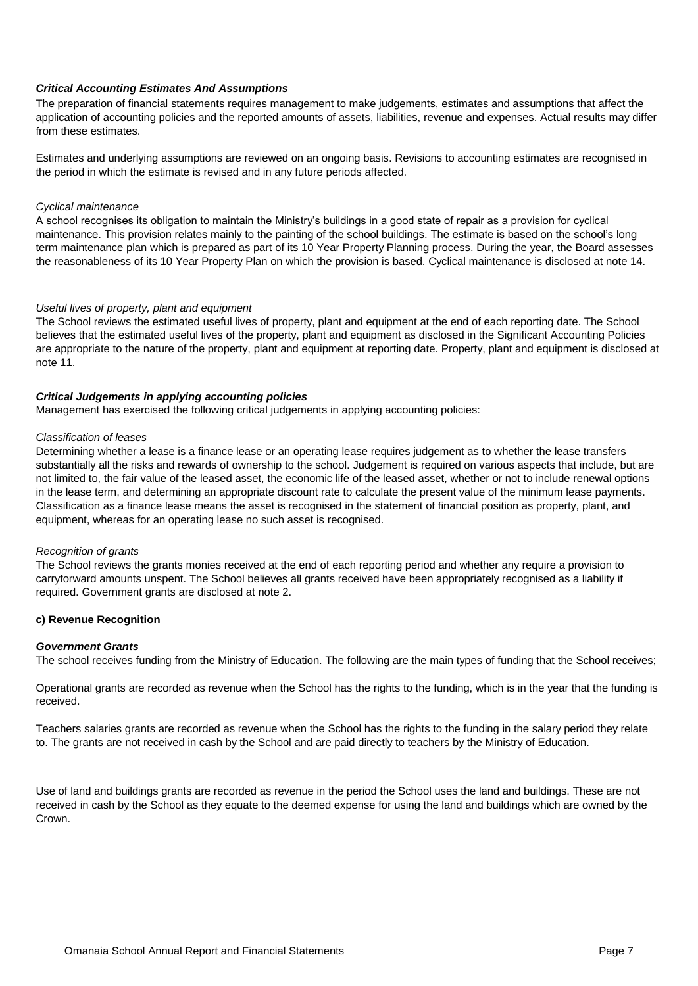#### *Critical Accounting Estimates And Assumptions*

The preparation of financial statements requires management to make judgements, estimates and assumptions that affect the application of accounting policies and the reported amounts of assets, liabilities, revenue and expenses. Actual results may differ from these estimates.

Estimates and underlying assumptions are reviewed on an ongoing basis. Revisions to accounting estimates are recognised in the period in which the estimate is revised and in any future periods affected.

#### *Cyclical maintenance*

A school recognises its obligation to maintain the Ministry's buildings in a good state of repair as a provision for cyclical maintenance. This provision relates mainly to the painting of the school buildings. The estimate is based on the school's long term maintenance plan which is prepared as part of its 10 Year Property Planning process. During the year, the Board assesses the reasonableness of its 10 Year Property Plan on which the provision is based. Cyclical maintenance is disclosed at note 14.

#### *Useful lives of property, plant and equipment*

The School reviews the estimated useful lives of property, plant and equipment at the end of each reporting date. The School believes that the estimated useful lives of the property, plant and equipment as disclosed in the Significant Accounting Policies are appropriate to the nature of the property, plant and equipment at reporting date. Property, plant and equipment is disclosed at note 11.

#### *Critical Judgements in applying accounting policies*

Management has exercised the following critical judgements in applying accounting policies:

#### *Classification of leases*

Determining whether a lease is a finance lease or an operating lease requires judgement as to whether the lease transfers substantially all the risks and rewards of ownership to the school. Judgement is required on various aspects that include, but are not limited to, the fair value of the leased asset, the economic life of the leased asset, whether or not to include renewal options in the lease term, and determining an appropriate discount rate to calculate the present value of the minimum lease payments. Classification as a finance lease means the asset is recognised in the statement of financial position as property, plant, and equipment, whereas for an operating lease no such asset is recognised.

#### *Recognition of grants*

The School reviews the grants monies received at the end of each reporting period and whether any require a provision to carryforward amounts unspent. The School believes all grants received have been appropriately recognised as a liability if required. Government grants are disclosed at note 2.

#### **c) Revenue Recognition**

#### *Government Grants*

The school receives funding from the Ministry of Education. The following are the main types of funding that the School receives;

Operational grants are recorded as revenue when the School has the rights to the funding, which is in the year that the funding is received.

Teachers salaries grants are recorded as revenue when the School has the rights to the funding in the salary period they relate to. The grants are not received in cash by the School and are paid directly to teachers by the Ministry of Education.

Use of land and buildings grants are recorded as revenue in the period the School uses the land and buildings. These are not received in cash by the School as they equate to the deemed expense for using the land and buildings which are owned by the Crown.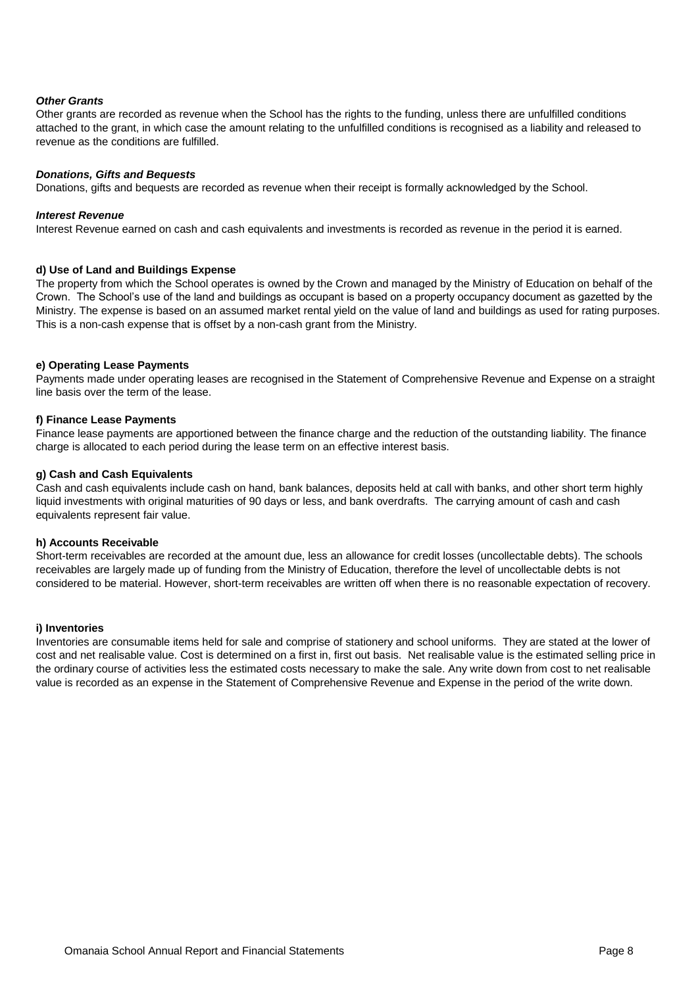#### *Other Grants*

Other grants are recorded as revenue when the School has the rights to the funding, unless there are unfulfilled conditions attached to the grant, in which case the amount relating to the unfulfilled conditions is recognised as a liability and released to revenue as the conditions are fulfilled.

#### *Donations, Gifts and Bequests*

Donations, gifts and bequests are recorded as revenue when their receipt is formally acknowledged by the School.

#### *Interest Revenue*

Interest Revenue earned on cash and cash equivalents and investments is recorded as revenue in the period it is earned.

#### **d) Use of Land and Buildings Expense**

The property from which the School operates is owned by the Crown and managed by the Ministry of Education on behalf of the Crown. The School's use of the land and buildings as occupant is based on a property occupancy document as gazetted by the Ministry. The expense is based on an assumed market rental yield on the value of land and buildings as used for rating purposes. This is a non-cash expense that is offset by a non-cash grant from the Ministry.

#### **e) Operating Lease Payments**

Payments made under operating leases are recognised in the Statement of Comprehensive Revenue and Expense on a straight line basis over the term of the lease.

#### **f) Finance Lease Payments**

Finance lease payments are apportioned between the finance charge and the reduction of the outstanding liability. The finance charge is allocated to each period during the lease term on an effective interest basis.

#### **g) Cash and Cash Equivalents**

Cash and cash equivalents include cash on hand, bank balances, deposits held at call with banks, and other short term highly liquid investments with original maturities of 90 days or less, and bank overdrafts. The carrying amount of cash and cash equivalents represent fair value.

#### **h) Accounts Receivable**

Short-term receivables are recorded at the amount due, less an allowance for credit losses (uncollectable debts). The schools receivables are largely made up of funding from the Ministry of Education, therefore the level of uncollectable debts is not considered to be material. However, short-term receivables are written off when there is no reasonable expectation of recovery.

#### **i) Inventories**

Inventories are consumable items held for sale and comprise of stationery and school uniforms. They are stated at the lower of cost and net realisable value. Cost is determined on a first in, first out basis. Net realisable value is the estimated selling price in the ordinary course of activities less the estimated costs necessary to make the sale. Any write down from cost to net realisable value is recorded as an expense in the Statement of Comprehensive Revenue and Expense in the period of the write down.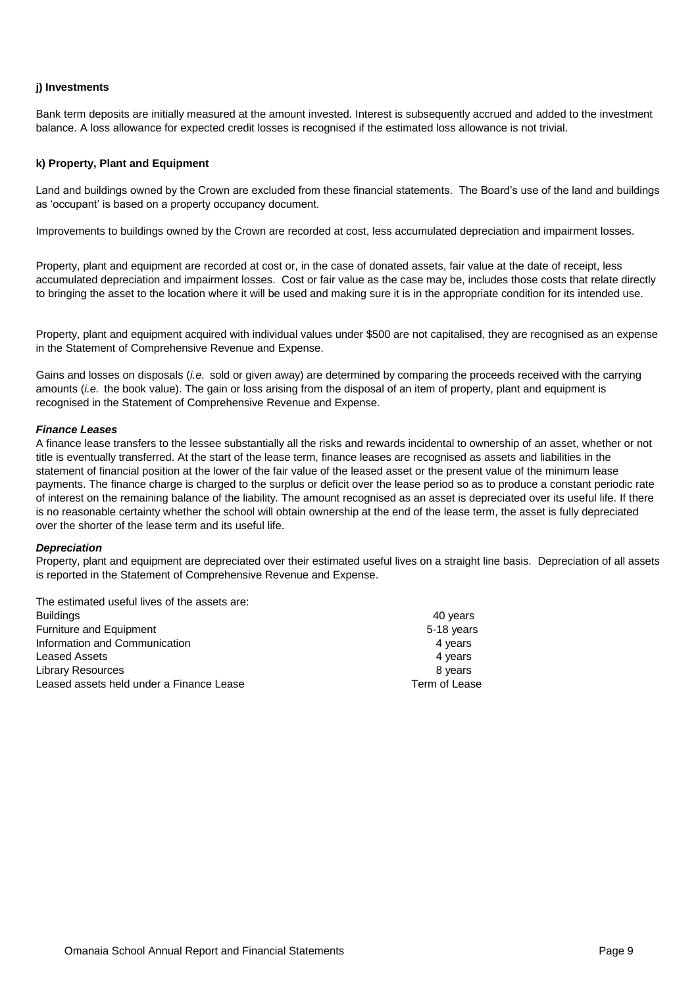#### **j) Investments**

Bank term deposits are initially measured at the amount invested. Interest is subsequently accrued and added to the investment balance. A loss allowance for expected credit losses is recognised if the estimated loss allowance is not trivial.

#### **k) Property, Plant and Equipment**

Land and buildings owned by the Crown are excluded from these financial statements. The Board's use of the land and buildings as 'occupant' is based on a property occupancy document.

Improvements to buildings owned by the Crown are recorded at cost, less accumulated depreciation and impairment losses.

Property, plant and equipment are recorded at cost or, in the case of donated assets, fair value at the date of receipt, less accumulated depreciation and impairment losses. Cost or fair value as the case may be, includes those costs that relate directly to bringing the asset to the location where it will be used and making sure it is in the appropriate condition for its intended use.

Property, plant and equipment acquired with individual values under \$500 are not capitalised, they are recognised as an expense in the Statement of Comprehensive Revenue and Expense.

Gains and losses on disposals (*i.e.* sold or given away) are determined by comparing the proceeds received with the carrying amounts (*i.e.* the book value). The gain or loss arising from the disposal of an item of property, plant and equipment is recognised in the Statement of Comprehensive Revenue and Expense.

#### *Finance Leases*

A finance lease transfers to the lessee substantially all the risks and rewards incidental to ownership of an asset, whether or not title is eventually transferred. At the start of the lease term, finance leases are recognised as assets and liabilities in the statement of financial position at the lower of the fair value of the leased asset or the present value of the minimum lease payments. The finance charge is charged to the surplus or deficit over the lease period so as to produce a constant periodic rate of interest on the remaining balance of the liability. The amount recognised as an asset is depreciated over its useful life. If there is no reasonable certainty whether the school will obtain ownership at the end of the lease term, the asset is fully depreciated over the shorter of the lease term and its useful life.

#### *Depreciation*

Property, plant and equipment are depreciated over their estimated useful lives on a straight line basis. Depreciation of all assets is reported in the Statement of Comprehensive Revenue and Expense.

| The estimated useful lives of the assets are: |            |
|-----------------------------------------------|------------|
| <b>Buildings</b>                              | 40 years   |
| Furniture and Equipment                       | 5-18 years |
| Information and Communication                 | 4 years    |
| Leased Assets                                 | 4 years    |
| <b>Library Resources</b>                      | 8 years    |

Leased assets held under a Finance Lease Term of Lease Term of Lease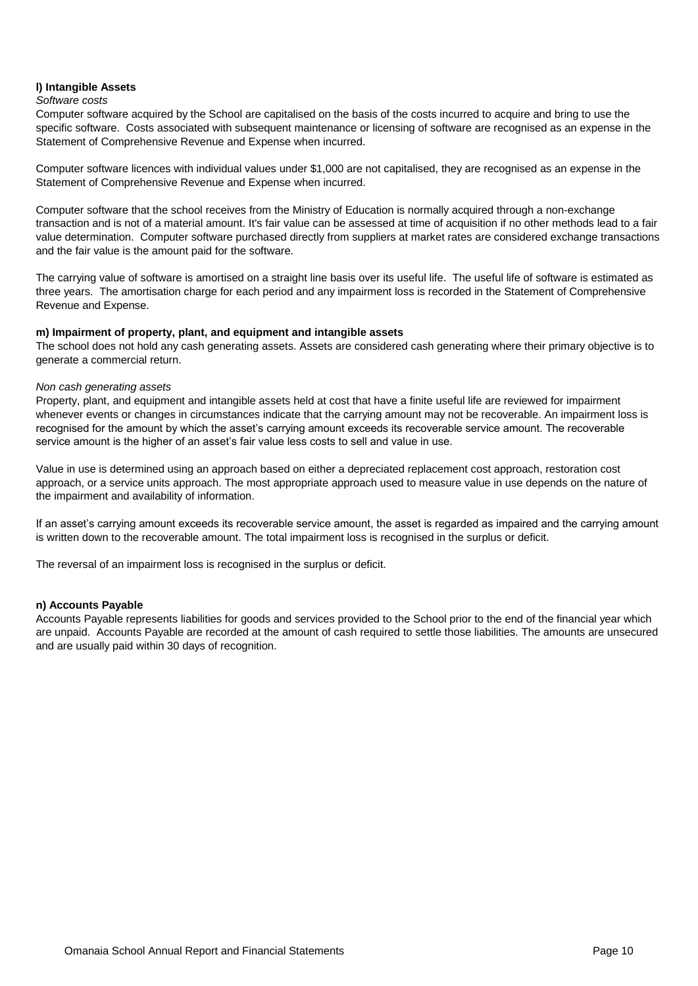#### **l) Intangible Assets**

#### *Software costs*

Computer software acquired by the School are capitalised on the basis of the costs incurred to acquire and bring to use the specific software. Costs associated with subsequent maintenance or licensing of software are recognised as an expense in the Statement of Comprehensive Revenue and Expense when incurred.

Computer software licences with individual values under \$1,000 are not capitalised, they are recognised as an expense in the Statement of Comprehensive Revenue and Expense when incurred.

Computer software that the school receives from the Ministry of Education is normally acquired through a non-exchange transaction and is not of a material amount. It's fair value can be assessed at time of acquisition if no other methods lead to a fair value determination. Computer software purchased directly from suppliers at market rates are considered exchange transactions and the fair value is the amount paid for the software.

The carrying value of software is amortised on a straight line basis over its useful life. The useful life of software is estimated as three years. The amortisation charge for each period and any impairment loss is recorded in the Statement of Comprehensive Revenue and Expense.

#### **m) Impairment of property, plant, and equipment and intangible assets**

The school does not hold any cash generating assets. Assets are considered cash generating where their primary objective is to generate a commercial return.

#### *Non cash generating assets*

Property, plant, and equipment and intangible assets held at cost that have a finite useful life are reviewed for impairment whenever events or changes in circumstances indicate that the carrying amount may not be recoverable. An impairment loss is recognised for the amount by which the asset's carrying amount exceeds its recoverable service amount. The recoverable service amount is the higher of an asset's fair value less costs to sell and value in use.

Value in use is determined using an approach based on either a depreciated replacement cost approach, restoration cost approach, or a service units approach. The most appropriate approach used to measure value in use depends on the nature of the impairment and availability of information.

If an asset's carrying amount exceeds its recoverable service amount, the asset is regarded as impaired and the carrying amount is written down to the recoverable amount. The total impairment loss is recognised in the surplus or deficit.

The reversal of an impairment loss is recognised in the surplus or deficit.

#### **n) Accounts Payable**

Accounts Payable represents liabilities for goods and services provided to the School prior to the end of the financial year which are unpaid. Accounts Payable are recorded at the amount of cash required to settle those liabilities. The amounts are unsecured and are usually paid within 30 days of recognition.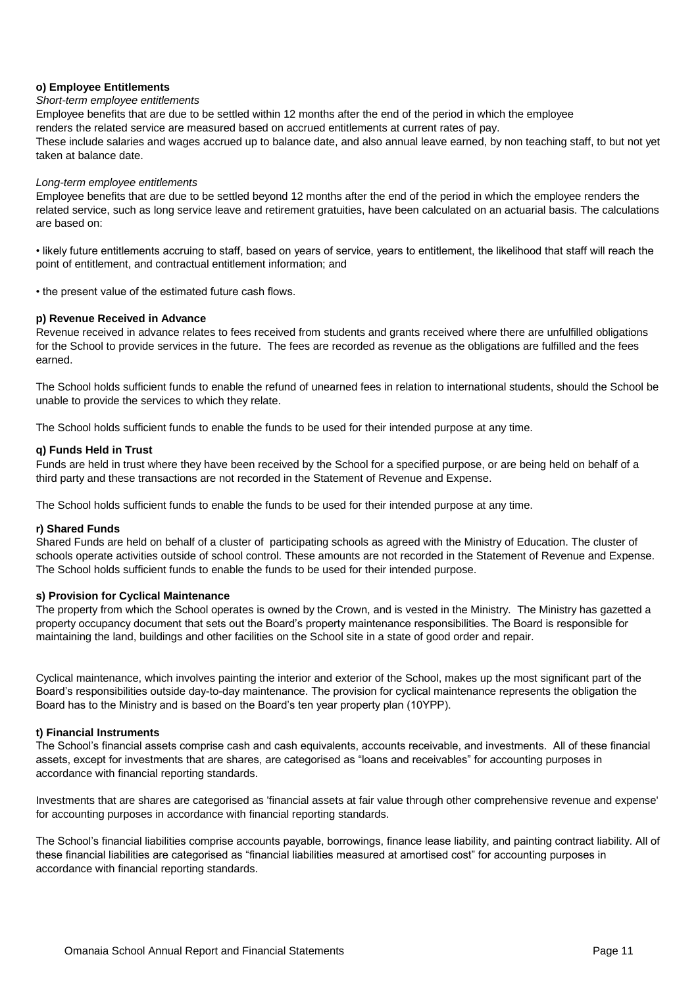#### **o) Employee Entitlements**

#### *Short-term employee entitlements*

Employee benefits that are due to be settled within 12 months after the end of the period in which the employee renders the related service are measured based on accrued entitlements at current rates of pay. These include salaries and wages accrued up to balance date, and also annual leave earned, by non teaching staff, to but not yet taken at balance date.

#### *Long-term employee entitlements*

Employee benefits that are due to be settled beyond 12 months after the end of the period in which the employee renders the related service, such as long service leave and retirement gratuities, have been calculated on an actuarial basis. The calculations are based on:

• likely future entitlements accruing to staff, based on years of service, years to entitlement, the likelihood that staff will reach the point of entitlement, and contractual entitlement information; and

• the present value of the estimated future cash flows.

#### **p) Revenue Received in Advance**

Revenue received in advance relates to fees received from students and grants received where there are unfulfilled obligations for the School to provide services in the future. The fees are recorded as revenue as the obligations are fulfilled and the fees earned.

The School holds sufficient funds to enable the refund of unearned fees in relation to international students, should the School be unable to provide the services to which they relate.

The School holds sufficient funds to enable the funds to be used for their intended purpose at any time.

#### **q) Funds Held in Trust**

Funds are held in trust where they have been received by the School for a specified purpose, or are being held on behalf of a third party and these transactions are not recorded in the Statement of Revenue and Expense.

The School holds sufficient funds to enable the funds to be used for their intended purpose at any time.

#### **r) Shared Funds**

Shared Funds are held on behalf of a cluster of participating schools as agreed with the Ministry of Education. The cluster of schools operate activities outside of school control. These amounts are not recorded in the Statement of Revenue and Expense. The School holds sufficient funds to enable the funds to be used for their intended purpose.

#### **s) Provision for Cyclical Maintenance**

The property from which the School operates is owned by the Crown, and is vested in the Ministry. The Ministry has gazetted a property occupancy document that sets out the Board's property maintenance responsibilities. The Board is responsible for maintaining the land, buildings and other facilities on the School site in a state of good order and repair.

Cyclical maintenance, which involves painting the interior and exterior of the School, makes up the most significant part of the Board's responsibilities outside day-to-day maintenance. The provision for cyclical maintenance represents the obligation the Board has to the Ministry and is based on the Board's ten year property plan (10YPP).

#### **t) Financial Instruments**

The School's financial assets comprise cash and cash equivalents, accounts receivable, and investments. All of these financial assets, except for investments that are shares, are categorised as "loans and receivables" for accounting purposes in accordance with financial reporting standards.

Investments that are shares are categorised as 'financial assets at fair value through other comprehensive revenue and expense' for accounting purposes in accordance with financial reporting standards.

The School's financial liabilities comprise accounts payable, borrowings, finance lease liability, and painting contract liability. All of these financial liabilities are categorised as "financial liabilities measured at amortised cost" for accounting purposes in accordance with financial reporting standards.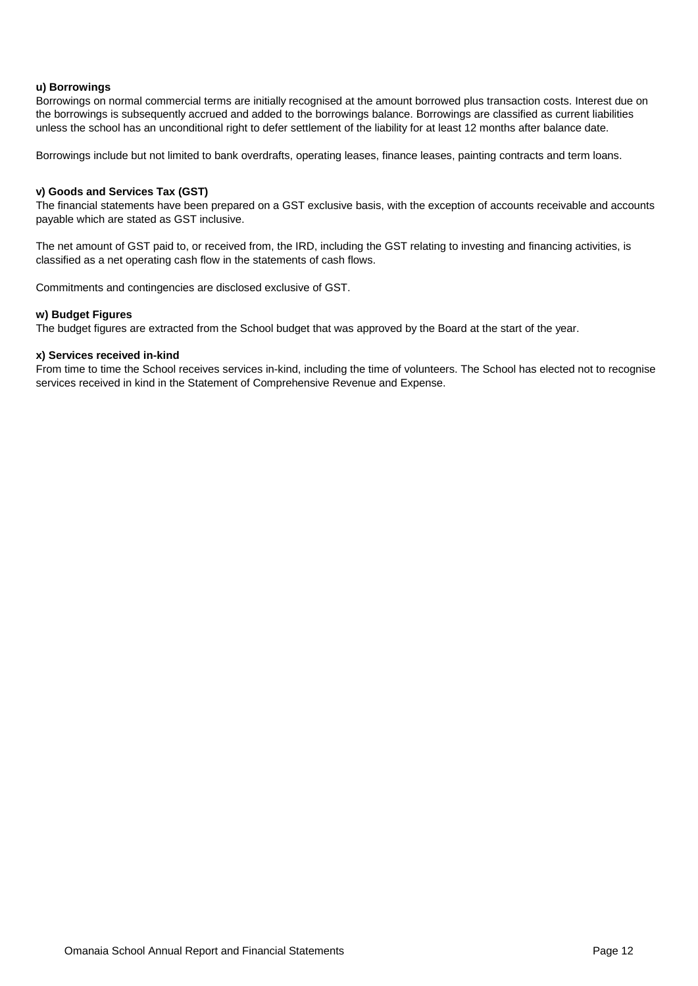#### **u) Borrowings**

Borrowings on normal commercial terms are initially recognised at the amount borrowed plus transaction costs. Interest due on the borrowings is subsequently accrued and added to the borrowings balance. Borrowings are classified as current liabilities unless the school has an unconditional right to defer settlement of the liability for at least 12 months after balance date.

Borrowings include but not limited to bank overdrafts, operating leases, finance leases, painting contracts and term loans.

#### **v) Goods and Services Tax (GST)**

The financial statements have been prepared on a GST exclusive basis, with the exception of accounts receivable and accounts payable which are stated as GST inclusive.

The net amount of GST paid to, or received from, the IRD, including the GST relating to investing and financing activities, is classified as a net operating cash flow in the statements of cash flows.

Commitments and contingencies are disclosed exclusive of GST.

#### **w) Budget Figures**

The budget figures are extracted from the School budget that was approved by the Board at the start of the year.

#### **x) Services received in-kind**

From time to time the School receives services in-kind, including the time of volunteers. The School has elected not to recognise services received in kind in the Statement of Comprehensive Revenue and Expense.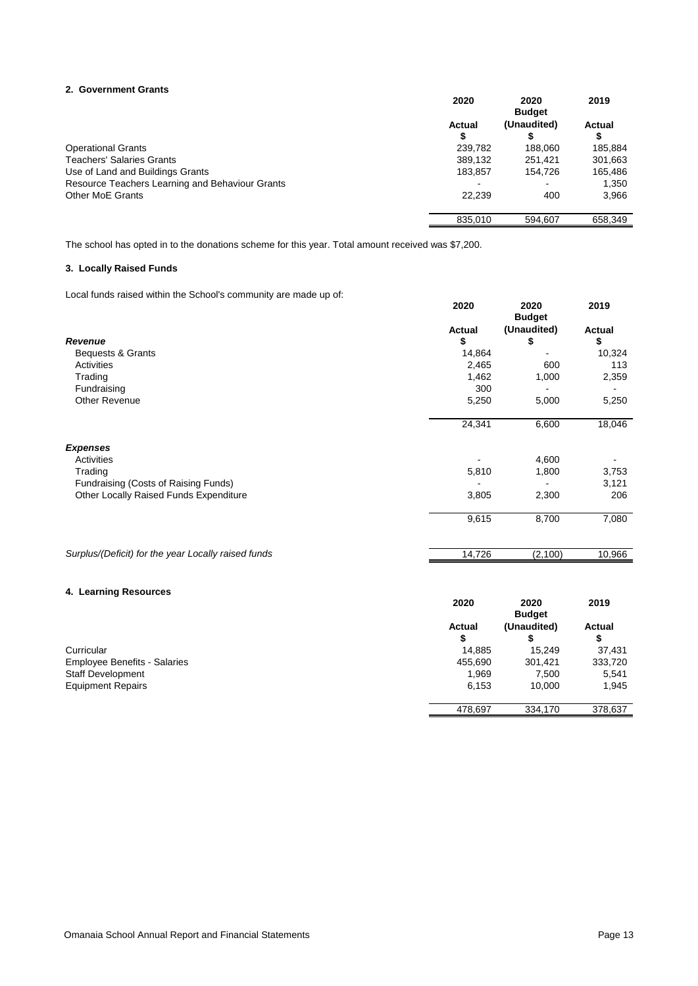#### **2. Government Grants**

| 2. Government Grants                            |         |               |               |
|-------------------------------------------------|---------|---------------|---------------|
|                                                 | 2020    | 2020          | 2019          |
|                                                 |         | <b>Budget</b> |               |
|                                                 | Actual  | (Unaudited)   | <b>Actual</b> |
|                                                 | Φ       |               |               |
| <b>Operational Grants</b>                       | 239.782 | 188.060       | 185,884       |
| <b>Teachers' Salaries Grants</b>                | 389.132 | 251.421       | 301,663       |
| Use of Land and Buildings Grants                | 183,857 | 154.726       | 165,486       |
| Resource Teachers Learning and Behaviour Grants |         |               | 1,350         |
| Other MoE Grants                                | 22,239  | 400           | 3,966         |
|                                                 | 835,010 | 594.607       | 658,349       |

The school has opted in to the donations scheme for this year. Total amount received was \$7,200.

#### **3. Locally Raised Funds**

Local funds raised within the School's community are made up of:

| Local furius raised within the Scribbi's community are made up on. | 2020          | 2020<br><b>Budget</b> | 2019          |
|--------------------------------------------------------------------|---------------|-----------------------|---------------|
|                                                                    | <b>Actual</b> | (Unaudited)           | <b>Actual</b> |
| Revenue                                                            | \$            | S                     | \$            |
| Bequests & Grants                                                  | 14,864        |                       | 10,324        |
| Activities                                                         | 2,465         | 600                   | 113           |
| Trading                                                            | 1,462         | 1,000                 | 2,359         |
| Fundraising                                                        | 300           |                       |               |
| <b>Other Revenue</b>                                               | 5,250         | 5,000                 | 5,250         |
|                                                                    | 24,341        | 6,600                 | 18,046        |
| <b>Expenses</b>                                                    |               |                       |               |
| Activities                                                         |               | 4,600                 |               |
| Trading                                                            | 5,810         | 1,800                 | 3,753         |
| Fundraising (Costs of Raising Funds)                               |               |                       | 3,121         |
| Other Locally Raised Funds Expenditure                             | 3,805         | 2,300                 | 206           |
|                                                                    | 9,615         | 8,700                 | 7,080         |
| Surplus/(Deficit) for the year Locally raised funds                | 14,726        | (2,100)               | 10,966        |

#### **4. Learning Resources**

| 4. Learning Resources               | 2020    | 2020<br><b>Budget</b> | 2019          |
|-------------------------------------|---------|-----------------------|---------------|
|                                     | Actual  | (Unaudited)           | <b>Actual</b> |
|                                     | \$      |                       | S             |
| Curricular                          | 14,885  | 15.249                | 37,431        |
| <b>Employee Benefits - Salaries</b> | 455,690 | 301,421               | 333,720       |
| <b>Staff Development</b>            | 1,969   | 7,500                 | 5,541         |
| <b>Equipment Repairs</b>            | 6,153   | 10.000                | 1,945         |
|                                     | 478,697 | 334,170               | 378,637       |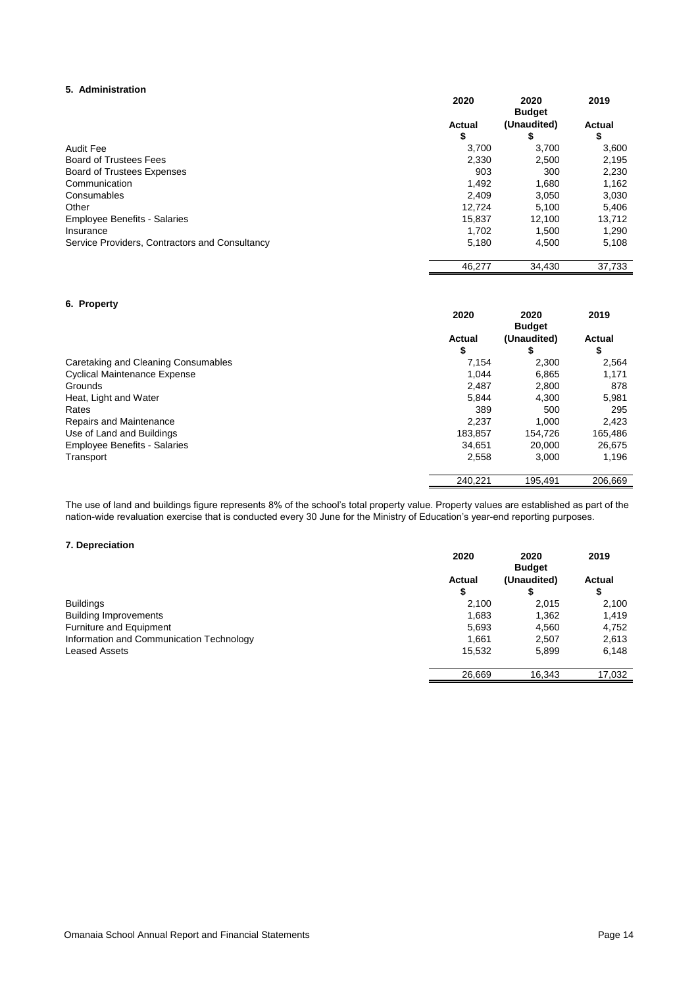#### **5. Administration**

|                                                | 2020          | 2020<br><b>Budget</b> | 2019          |
|------------------------------------------------|---------------|-----------------------|---------------|
|                                                | <b>Actual</b> | (Unaudited)           | <b>Actual</b> |
|                                                | \$            | S                     | \$            |
| <b>Audit Fee</b>                               | 3,700         | 3,700                 | 3,600         |
| <b>Board of Trustees Fees</b>                  | 2,330         | 2,500                 | 2,195         |
| <b>Board of Trustees Expenses</b>              | 903           | 300                   | 2,230         |
| Communication                                  | 1.492         | 1.680                 | 1,162         |
| Consumables                                    | 2.409         | 3.050                 | 3,030         |
| Other                                          | 12.724        | 5.100                 | 5,406         |
| <b>Employee Benefits - Salaries</b>            | 15.837        | 12.100                | 13.712        |
| Insurance                                      | 1,702         | 1.500                 | 1,290         |
| Service Providers, Contractors and Consultancy | 5.180         | 4.500                 | 5,108         |
|                                                | 46,277        | 34,430                | 37,733        |

#### **6. Property**

|                                     | 2020         | 2020<br><b>Budget</b> | 2019                |
|-------------------------------------|--------------|-----------------------|---------------------|
|                                     | Actual<br>\$ | (Unaudited)<br>S      | <b>Actual</b><br>\$ |
| Caretaking and Cleaning Consumables | 7.154        | 2,300                 | 2,564               |
| <b>Cyclical Maintenance Expense</b> | 1.044        | 6,865                 | 1,171               |
| Grounds                             | 2,487        | 2,800                 | 878                 |
| Heat, Light and Water               | 5.844        | 4.300                 | 5,981               |
| Rates                               | 389          | 500                   | 295                 |
| Repairs and Maintenance             | 2.237        | 1.000                 | 2,423               |
| Use of Land and Buildings           | 183,857      | 154.726               | 165,486             |
| <b>Employee Benefits - Salaries</b> | 34.651       | 20,000                | 26,675              |
| Transport                           | 2,558        | 3.000                 | 1,196               |
|                                     | 240,221      | 195,491               | 206,669             |

The use of land and buildings figure represents 8% of the school's total property value. Property values are established as part of the nation-wide revaluation exercise that is conducted every 30 June for the Ministry of Education's year-end reporting purposes.

#### **7. Depreciation**

|                                          | 2020   | 2020<br><b>Budget</b> | 2019          |
|------------------------------------------|--------|-----------------------|---------------|
|                                          | Actual | (Unaudited)           | <b>Actual</b> |
|                                          | \$     | S                     | \$            |
| <b>Buildings</b>                         | 2.100  | 2,015                 | 2,100         |
| <b>Building Improvements</b>             | 1.683  | 1,362                 | 1.419         |
| Furniture and Equipment                  | 5,693  | 4,560                 | 4,752         |
| Information and Communication Technology | 1.661  | 2,507                 | 2,613         |
| Leased Assets                            | 15.532 | 5.899                 | 6,148         |
|                                          | 26,669 | 16,343                | 17,032        |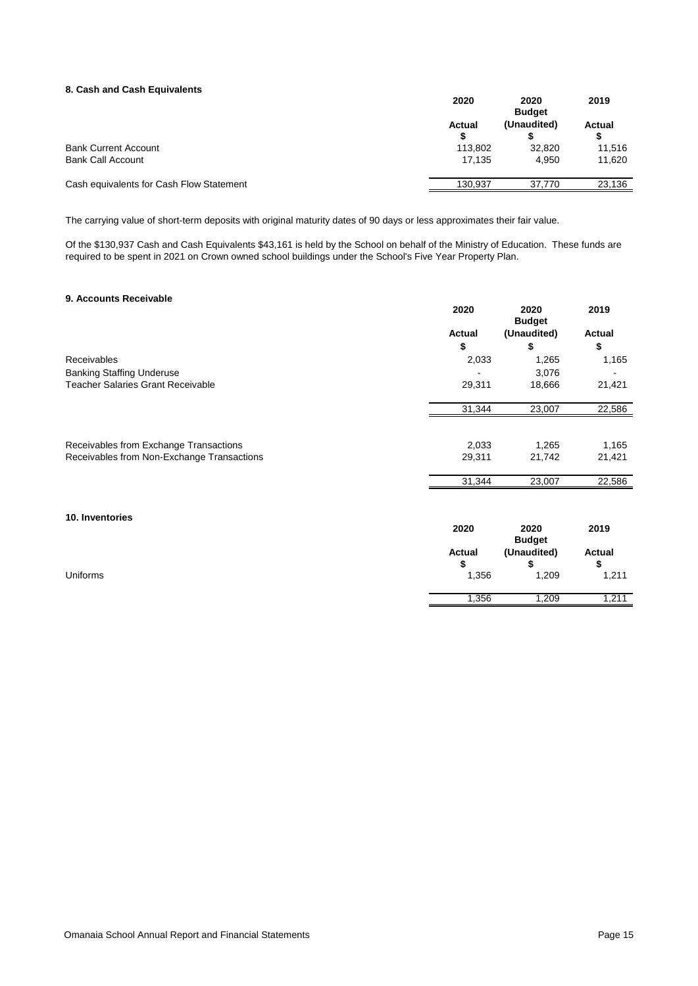#### **8. Cash and Cash Equivalents**

|                                          | 2020    | 2020<br><b>Budget</b> |        |
|------------------------------------------|---------|-----------------------|--------|
|                                          | Actual  | (Unaudited)           | Actual |
| <b>Bank Current Account</b>              | 113.802 | 32.820                | 11,516 |
| <b>Bank Call Account</b>                 | 17.135  | 4.950                 | 11,620 |
| Cash equivalents for Cash Flow Statement | 130.937 | 37.770                | 23,136 |

The carrying value of short-term deposits with original maturity dates of 90 days or less approximates their fair value.

Of the \$130,937 Cash and Cash Equivalents \$43,161 is held by the School on behalf of the Ministry of Education. These funds are required to be spent in 2021 on Crown owned school buildings under the School's Five Year Property Plan.

#### **9. Accounts Receivable**

| J. AUUUIIIIJ IIGUGIVANIG                   | 2020   | 2020<br><b>Budget</b> | 2019          |
|--------------------------------------------|--------|-----------------------|---------------|
|                                            | Actual | (Unaudited)           | Actual        |
|                                            | \$     | \$                    | \$            |
| Receivables                                | 2,033  | 1,265                 | 1,165         |
| <b>Banking Staffing Underuse</b>           |        | 3,076                 |               |
| <b>Teacher Salaries Grant Receivable</b>   | 29,311 | 18,666                | 21,421        |
|                                            | 31,344 | 23,007                | 22,586        |
|                                            |        |                       |               |
| Receivables from Exchange Transactions     | 2,033  | 1,265                 | 1,165         |
| Receivables from Non-Exchange Transactions | 29,311 | 21,742                | 21,421        |
|                                            | 31,344 | 23,007                | 22,586        |
|                                            |        |                       |               |
| 10. Inventories                            |        |                       |               |
|                                            | 2020   | 2020<br><b>Budget</b> | 2019          |
|                                            | Actual | (Unaudited)           | <b>Actual</b> |
|                                            | \$     | \$                    | \$            |
| <b>Uniforms</b>                            | 1,356  | 1,209                 | 1,211         |
|                                            | 1,356  | 1,209                 | 1,211         |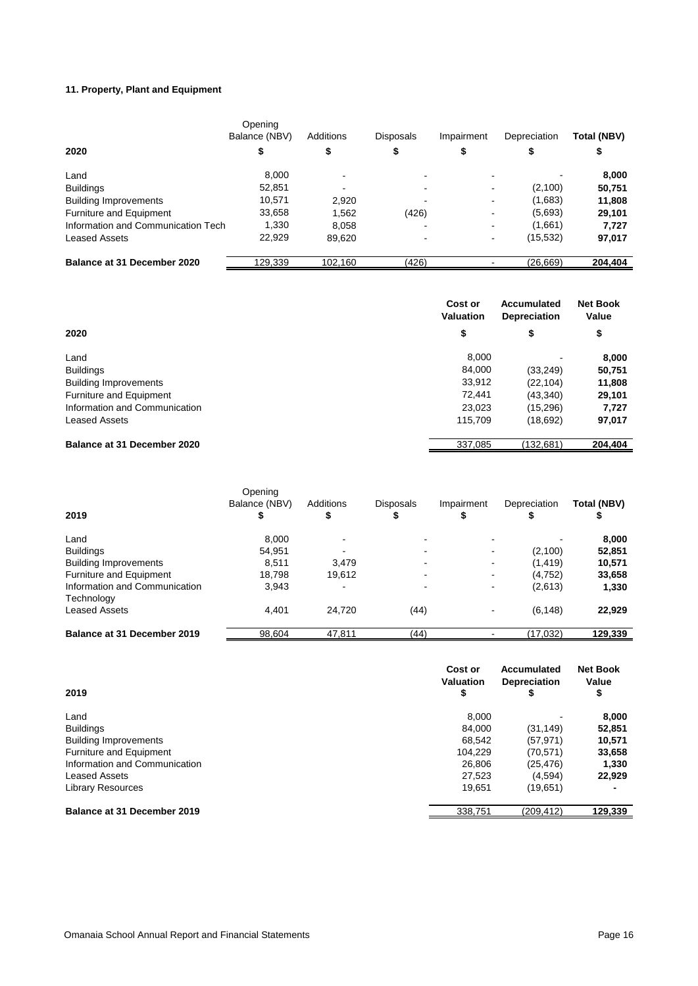#### **11. Property, Plant and Equipment**

|                                    | Opening<br>Balance (NBV) | Additions | <b>Disposals</b>         | Impairment               | Depreciation | Total (NBV) |
|------------------------------------|--------------------------|-----------|--------------------------|--------------------------|--------------|-------------|
| 2020                               |                          | \$        | \$                       |                          |              |             |
| Land                               | 8,000                    |           | -                        |                          |              | 8,000       |
| <b>Buildings</b>                   | 52,851                   |           |                          |                          | (2,100)      | 50,751      |
| <b>Building Improvements</b>       | 10,571                   | 2,920     |                          | $\blacksquare$           | (1,683)      | 11,808      |
| <b>Furniture and Equipment</b>     | 33,658                   | 1,562     | (426)                    |                          | (5,693)      | 29,101      |
| Information and Communication Tech | 1,330                    | 8.058     |                          | $\overline{\phantom{a}}$ | (1,661)      | 7,727       |
| <b>Leased Assets</b>               | 22,929                   | 89,620    | $\overline{\phantom{0}}$ | $\blacksquare$           | (15, 532)    | 97,017      |
| Balance at 31 December 2020        | 129.339                  | 102.160   | (426)                    |                          | (26, 669)    | 204.404     |

|                                | Cost or<br><b>Valuation</b> | Accumulated<br><b>Depreciation</b> | <b>Net Book</b><br>Value |
|--------------------------------|-----------------------------|------------------------------------|--------------------------|
| 2020                           | \$                          | \$                                 | \$                       |
| Land                           | 8.000                       | ٠                                  | 8,000                    |
| <b>Buildings</b>               | 84,000                      | (33, 249)                          | 50,751                   |
| <b>Building Improvements</b>   | 33,912                      | (22, 104)                          | 11,808                   |
| <b>Furniture and Equipment</b> | 72,441                      | (43,340)                           | 29,101                   |
| Information and Communication  | 23,023                      | (15, 296)                          | 7,727                    |
| Leased Assets                  | 115,709                     | (18,692)                           | 97,017                   |
| Balance at 31 December 2020    | 337,085                     | (132,681)                          | 204.404                  |

|                               | Opening<br>Balance (NBV) | <b>Additions</b> | <b>Disposals</b> | Impairment               | Depreciation | Total (NBV) |
|-------------------------------|--------------------------|------------------|------------------|--------------------------|--------------|-------------|
| 2019                          |                          | Φ                |                  |                          |              |             |
| Land                          | 8,000                    |                  |                  |                          |              | 8,000       |
| <b>Buildings</b>              | 54,951                   |                  |                  |                          | (2,100)      | 52,851      |
| <b>Building Improvements</b>  | 8,511                    | 3.479            |                  | $\overline{\phantom{0}}$ | (1, 419)     | 10,571      |
| Furniture and Equipment       | 18,798                   | 19,612           |                  | ۰                        | (4,752)      | 33,658      |
| Information and Communication | 3,943                    |                  |                  |                          | (2,613)      | 1,330       |
| Technology                    |                          |                  |                  |                          |              |             |
| Leased Assets                 | 4.401                    | 24,720           | (44)             |                          | (6, 148)     | 22,929      |
| Balance at 31 December 2019   | 98,604                   | 47,811           | (44)             |                          | (17,032)     | 129,339     |

| 2019                          | Cost or<br>Valuation<br>\$ | Accumulated<br><b>Depreciation</b> | <b>Net Book</b><br>Value<br>\$ |
|-------------------------------|----------------------------|------------------------------------|--------------------------------|
| Land                          | 8.000                      |                                    | 8,000                          |
| <b>Buildings</b>              | 84,000                     | (31, 149)                          | 52,851                         |
| <b>Building Improvements</b>  | 68,542                     | (57, 971)                          | 10,571                         |
| Furniture and Equipment       | 104.229                    | (70, 571)                          | 33,658                         |
| Information and Communication | 26,806                     | (25.476)                           | 1,330                          |
| <b>Leased Assets</b>          | 27,523                     | (4,594)                            | 22,929                         |
| <b>Library Resources</b>      | 19.651                     | (19,651)                           |                                |
| Balance at 31 December 2019   | 338,751                    | (209,412)                          | 129,339                        |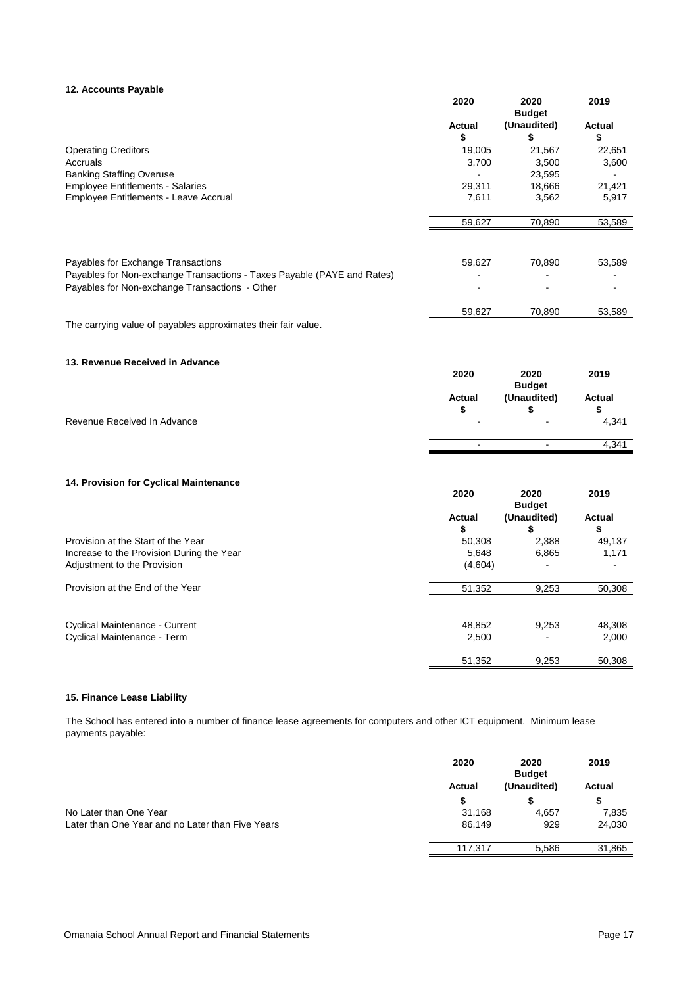#### **12. Accounts Payable**

|                                                                         | 2020           | 2020<br><b>Budget</b> | 2019          |
|-------------------------------------------------------------------------|----------------|-----------------------|---------------|
|                                                                         | Actual         | (Unaudited)           | <b>Actual</b> |
|                                                                         | \$             | \$                    | \$            |
| <b>Operating Creditors</b>                                              | 19,005         | 21,567                | 22,651        |
| Accruals                                                                | 3,700          | 3,500                 | 3,600         |
| <b>Banking Staffing Overuse</b>                                         |                | 23,595                |               |
| <b>Employee Entitlements - Salaries</b>                                 | 29,311         | 18,666                | 21,421        |
| Employee Entitlements - Leave Accrual                                   | 7,611          | 3,562                 | 5,917         |
|                                                                         | 59,627         | 70,890                | 53,589        |
|                                                                         |                |                       |               |
| Payables for Exchange Transactions                                      | 59,627         | 70,890                | 53,589        |
| Payables for Non-exchange Transactions - Taxes Payable (PAYE and Rates) |                |                       |               |
| Payables for Non-exchange Transactions - Other                          |                |                       |               |
|                                                                         | 59,627         | 70,890                | 53,589        |
| The carrying value of payables approximates their fair value.           |                |                       |               |
| 13. Revenue Received in Advance                                         |                |                       |               |
|                                                                         | 2020           | 2020<br><b>Budget</b> | 2019          |
|                                                                         | Actual         | (Unaudited)           | <b>Actual</b> |
|                                                                         | \$             | \$                    | \$            |
| Revenue Received In Advance                                             |                |                       | 4,341         |
|                                                                         | $\blacksquare$ | $\sim$                | 4,341         |
|                                                                         |                |                       |               |
| 14. Provision for Cyclical Maintenance                                  |                |                       |               |
|                                                                         | 2020           | 2020<br><b>Budget</b> | 2019          |
|                                                                         | Actual         | (Unaudited)           | <b>Actual</b> |
|                                                                         | \$             | \$                    | \$            |
| Provision at the Start of the Year                                      | 50,308         | 2,388                 | 49,137        |
| Increase to the Provision During the Year                               | 5,648          | 6,865                 | 1,171         |
| Adjustment to the Provision                                             | (4,604)        |                       |               |
| Provision at the End of the Year                                        | 51,352         | 9,253                 | 50,308        |

Cyclical Maintenance - Current 48,852 9,253 48,308 Cyclical Maintenance - Term 2,500 - 2,000

#### **15. Finance Lease Liability**

The School has entered into a number of finance lease agreements for computers and other ICT equipment. Minimum lease payments payable:

|                                                  | 2020    | 2020<br><b>Budget</b> | 2019          |
|--------------------------------------------------|---------|-----------------------|---------------|
|                                                  | Actual  | (Unaudited)           | <b>Actual</b> |
|                                                  | S       |                       |               |
| No Later than One Year                           | 31.168  | 4.657                 | 7,835         |
| Later than One Year and no Later than Five Years | 86.149  | 929                   | 24,030        |
|                                                  | 117.317 | 5,586                 | 31.865        |

51,352 9,253 50,308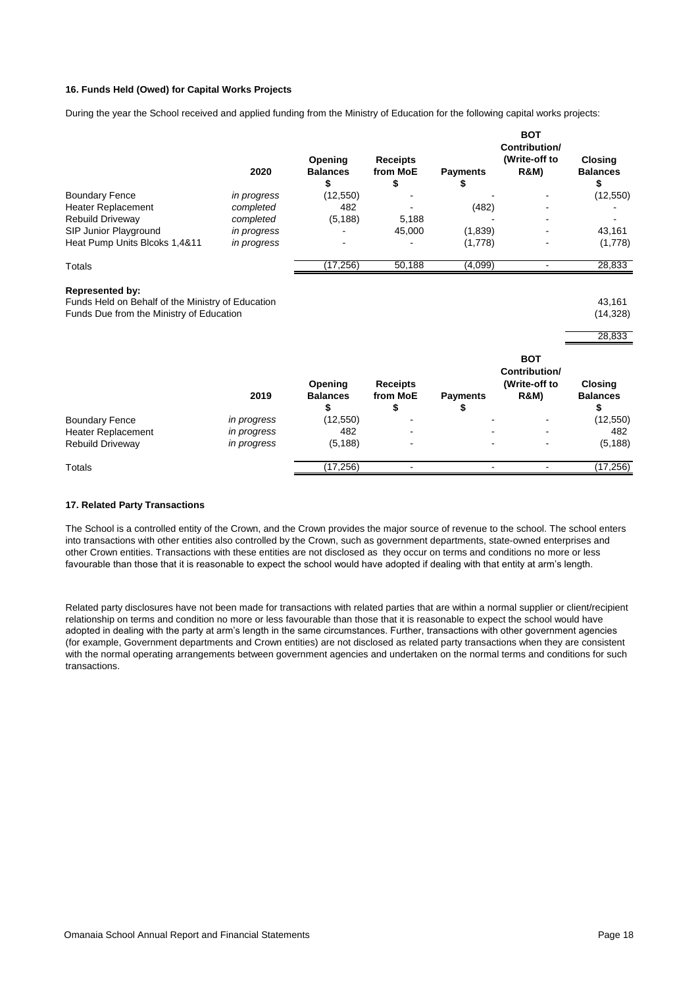#### **16. Funds Held (Owed) for Capital Works Projects**

During the year the School received and applied funding from the Ministry of Education for the following capital works projects:

|                                                                                                                         | 2020        | Opening<br><b>Balances</b><br>\$ | <b>Receipts</b><br>from MoE<br>\$ | <b>Payments</b><br>\$ | <b>BOT</b><br>Contribution/<br>(Write-off to<br><b>R&amp;M)</b> | <b>Closing</b><br><b>Balances</b><br>\$ |
|-------------------------------------------------------------------------------------------------------------------------|-------------|----------------------------------|-----------------------------------|-----------------------|-----------------------------------------------------------------|-----------------------------------------|
| <b>Boundary Fence</b>                                                                                                   | in progress | (12, 550)                        |                                   |                       |                                                                 | (12, 550)                               |
| Heater Replacement                                                                                                      | completed   | 482                              |                                   | (482)                 |                                                                 |                                         |
| Rebuild Driveway                                                                                                        | completed   | (5, 188)                         | 5,188                             |                       |                                                                 |                                         |
| SIP Junior Playground                                                                                                   | in progress |                                  | 45,000                            | (1,839)               |                                                                 | 43,161                                  |
| Heat Pump Units Blcoks 1,4&11                                                                                           | in progress |                                  |                                   | (1,778)               |                                                                 | (1,778)                                 |
| Totals                                                                                                                  |             | (17, 256)                        | 50,188                            | (4,099)               | $\blacksquare$                                                  | 28,833                                  |
| <b>Represented by:</b><br>Funds Held on Behalf of the Ministry of Education<br>Funds Due from the Ministry of Education |             |                                  |                                   |                       |                                                                 | 43,161<br>(14, 328)<br>28,833           |
|                                                                                                                         | 2019        | Opening<br><b>Balances</b><br>\$ | <b>Receipts</b><br>from MoE<br>\$ | <b>Payments</b><br>\$ | <b>BOT</b><br>Contribution/<br>(Write-off to<br><b>R&amp;M)</b> | Closing<br><b>Balances</b><br>\$        |
| <b>Boundary Fence</b>                                                                                                   | in progress | (12, 550)                        |                                   |                       |                                                                 | (12, 550)                               |
| Heater Replacement                                                                                                      | in progress | 482                              |                                   |                       |                                                                 | 482                                     |
| Rebuild Driveway                                                                                                        | in progress | (5, 188)                         |                                   |                       |                                                                 | (5, 188)                                |
| Totals                                                                                                                  |             | (17, 256)                        |                                   | $\blacksquare$        | $\blacksquare$                                                  | (17, 256)                               |

#### **17. Related Party Transactions**

The School is a controlled entity of the Crown, and the Crown provides the major source of revenue to the school. The school enters into transactions with other entities also controlled by the Crown, such as government departments, state-owned enterprises and other Crown entities. Transactions with these entities are not disclosed as they occur on terms and conditions no more or less favourable than those that it is reasonable to expect the school would have adopted if dealing with that entity at arm's length.

Related party disclosures have not been made for transactions with related parties that are within a normal supplier or client/recipient relationship on terms and condition no more or less favourable than those that it is reasonable to expect the school would have adopted in dealing with the party at arm's length in the same circumstances. Further, transactions with other government agencies (for example, Government departments and Crown entities) are not disclosed as related party transactions when they are consistent with the normal operating arrangements between government agencies and undertaken on the normal terms and conditions for such transactions.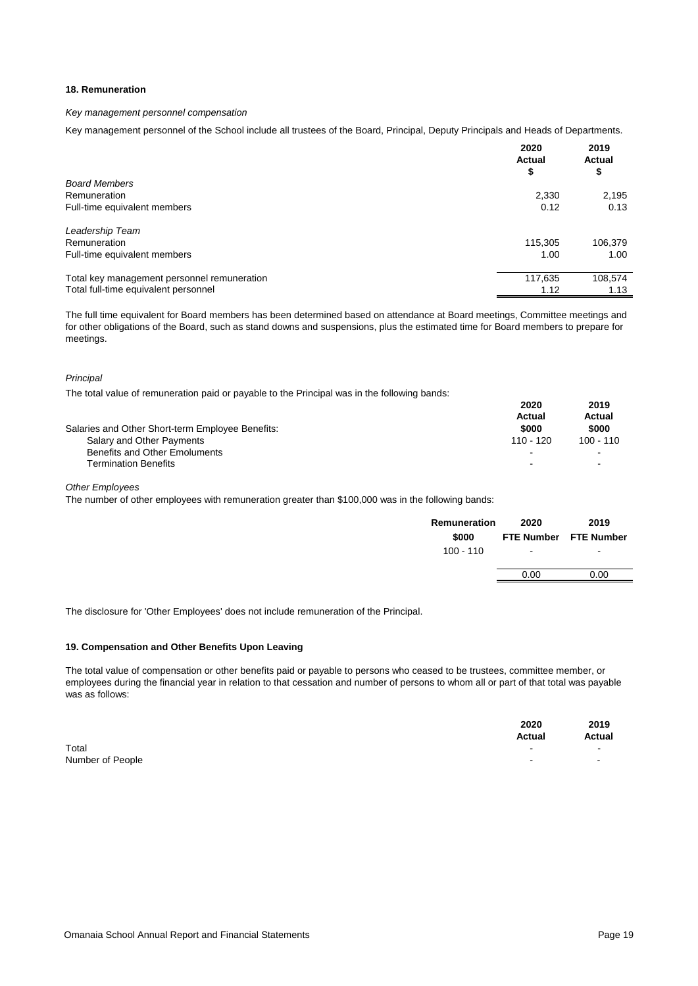#### **18. Remuneration**

#### *Key management personnel compensation*

Key management personnel of the School include all trustees of the Board, Principal, Deputy Principals and Heads of Departments.

|                                             | 2020<br><b>Actual</b><br>\$ | 2019<br>Actual<br>\$ |
|---------------------------------------------|-----------------------------|----------------------|
| <b>Board Members</b>                        |                             |                      |
| Remuneration                                | 2,330                       | 2,195                |
| Full-time equivalent members                | 0.12                        | 0.13                 |
| Leadership Team                             |                             |                      |
| Remuneration                                | 115.305                     | 106,379              |
| Full-time equivalent members                | 1.00                        | 1.00                 |
| Total key management personnel remuneration | 117,635                     | 108,574              |
| Total full-time equivalent personnel        | 1.12                        | 1.13                 |

The full time equivalent for Board members has been determined based on attendance at Board meetings, Committee meetings and for other obligations of the Board, such as stand downs and suspensions, plus the estimated time for Board members to prepare for meetings.

*Principal* 

The total value of remuneration paid or payable to the Principal was in the following bands:

| Salaries and Other Short-term Employee Benefits: | 2020<br>Actual<br>\$000  | 2019<br>Actual<br>\$000 |
|--------------------------------------------------|--------------------------|-------------------------|
|                                                  |                          |                         |
| Salary and Other Payments                        | 110 - 120                | $100 - 110$             |
| Benefits and Other Emoluments                    | $\overline{\phantom{0}}$ |                         |
| <b>Termination Benefits</b>                      | $\overline{\phantom{a}}$ |                         |

*Other Employees*

The number of other employees with remuneration greater than \$100,000 was in the following bands:

| Remuneration | 2020   | 2019                  |
|--------------|--------|-----------------------|
| \$000        |        | FTE Number FTE Number |
| 100 - 110    | $\sim$ | $\sim$                |
|              |        |                       |
|              | 0.00   | 0.00                  |
|              |        |                       |

The disclosure for 'Other Employees' does not include remuneration of the Principal.

#### **19. Compensation and Other Benefits Upon Leaving**

The total value of compensation or other benefits paid or payable to persons who ceased to be trustees, committee member, or employees during the financial year in relation to that cessation and number of persons to whom all or part of that total was payable was as follows:

|                  | 2020<br>Actual | 2019<br>Actual |
|------------------|----------------|----------------|
| Total            |                | $\sim$         |
| Number of People | $\sim$         | $\blacksquare$ |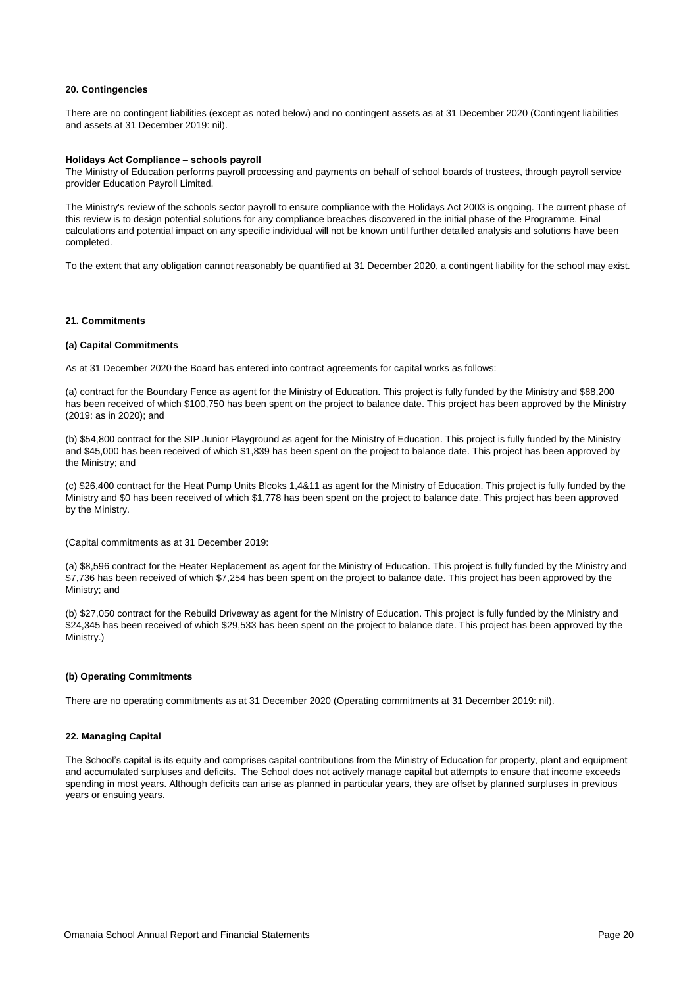#### **20. Contingencies**

There are no contingent liabilities (except as noted below) and no contingent assets as at 31 December 2020 (Contingent liabilities and assets at 31 December 2019: nil).

#### **Holidays Act Compliance – schools payroll**

The Ministry of Education performs payroll processing and payments on behalf of school boards of trustees, through payroll service provider Education Payroll Limited.

The Ministry's review of the schools sector payroll to ensure compliance with the Holidays Act 2003 is ongoing. The current phase of this review is to design potential solutions for any compliance breaches discovered in the initial phase of the Programme. Final calculations and potential impact on any specific individual will not be known until further detailed analysis and solutions have been completed.

To the extent that any obligation cannot reasonably be quantified at 31 December 2020, a contingent liability for the school may exist.

#### **21. Commitments**

#### **(a) Capital Commitments**

As at 31 December 2020 the Board has entered into contract agreements for capital works as follows:

(a) contract for the Boundary Fence as agent for the Ministry of Education. This project is fully funded by the Ministry and \$88,200 has been received of which \$100,750 has been spent on the project to balance date. This project has been approved by the Ministry (2019: as in 2020); and

(b) \$54,800 contract for the SIP Junior Playground as agent for the Ministry of Education. This project is fully funded by the Ministry and \$45,000 has been received of which \$1,839 has been spent on the project to balance date. This project has been approved by the Ministry; and

(c) \$26,400 contract for the Heat Pump Units Blcoks 1,4&11 as agent for the Ministry of Education. This project is fully funded by the Ministry and \$0 has been received of which \$1,778 has been spent on the project to balance date. This project has been approved by the Ministry.

(Capital commitments as at 31 December 2019:

(a) \$8,596 contract for the Heater Replacement as agent for the Ministry of Education. This project is fully funded by the Ministry and \$7,736 has been received of which \$7,254 has been spent on the project to balance date. This project has been approved by the Ministry; and

(b) \$27,050 contract for the Rebuild Driveway as agent for the Ministry of Education. This project is fully funded by the Ministry and \$24,345 has been received of which \$29,533 has been spent on the project to balance date. This project has been approved by the Ministry.)

#### **(b) Operating Commitments**

There are no operating commitments as at 31 December 2020 (Operating commitments at 31 December 2019: nil).

#### **22. Managing Capital**

The School's capital is its equity and comprises capital contributions from the Ministry of Education for property, plant and equipment and accumulated surpluses and deficits. The School does not actively manage capital but attempts to ensure that income exceeds spending in most years. Although deficits can arise as planned in particular years, they are offset by planned surpluses in previous years or ensuing years.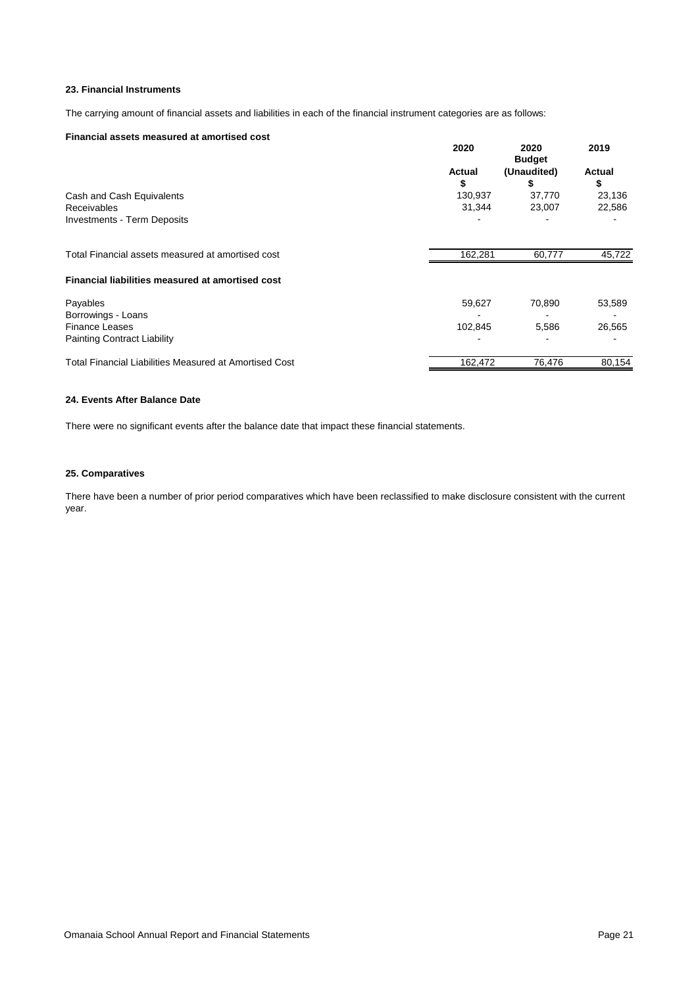#### **23. Financial Instruments**

The carrying amount of financial assets and liabilities in each of the financial instrument categories are as follows:

#### **Financial assets measured at amortised cost**

|                                                               | 2020    | 2020<br><b>Budget</b> | 2019   |
|---------------------------------------------------------------|---------|-----------------------|--------|
|                                                               | Actual  | (Unaudited)           | Actual |
|                                                               | \$      | \$                    | \$     |
| Cash and Cash Equivalents                                     | 130,937 | 37,770                | 23,136 |
| <b>Receivables</b>                                            | 31,344  | 23,007                | 22,586 |
| <b>Investments - Term Deposits</b>                            |         |                       |        |
| Total Financial assets measured at amortised cost             | 162,281 | 60,777                | 45,722 |
| Financial liabilities measured at amortised cost              |         |                       |        |
| Payables                                                      | 59,627  | 70,890                | 53,589 |
| Borrowings - Loans                                            |         |                       |        |
| <b>Finance Leases</b>                                         | 102.845 | 5,586                 | 26,565 |
| <b>Painting Contract Liability</b>                            |         |                       |        |
| <b>Total Financial Liabilities Measured at Amortised Cost</b> | 162,472 | 76,476                | 80,154 |

#### **24. Events After Balance Date**

There were no significant events after the balance date that impact these financial statements.

#### **25. Comparatives**

There have been a number of prior period comparatives which have been reclassified to make disclosure consistent with the current year.